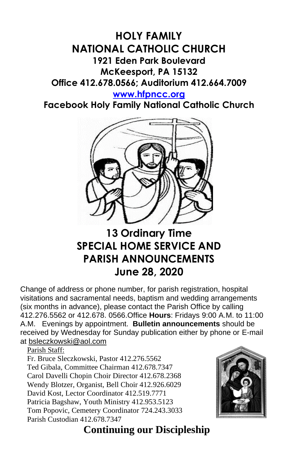## **HOLY FAMILY NATIONAL CATHOLIC CHURCH 1921 Eden Park Boulevard McKeesport, PA 15132 Office 412.678.0566; Auditorium 412.664.7009**

#### **[www.hfpncc.org](http://www.hfpncc.org/)**

**Facebook Holy Family National Catholic Church**



## **13 Ordinary Time SPECIAL HOME SERVICE AND PARISH ANNOUNCEMENTS June 28, 2020**

Change of address or phone number, for parish registration, hospital visitations and sacramental needs, baptism and wedding arrangements (six months in advance), please contact the Parish Office by calling 412.276.5562 or 412.678. 0566.Office **Hours**: Fridays 9:00 A.M. to 11:00 A.M. Evenings by appointment. **Bulletin announcements** should be received by Wednesday for Sunday publication either by phone or E-mail at [bsleczkowski@aol.com](mailto:bsleczkowski@aol.com)

Parish Staff:

Fr. Bruce Sleczkowski, Pastor 412.276.5562 Ted Gibala, Committee Chairman 412.678.7347 Carol Davelli Chopin Choir Director 412.678.2368 Wendy Blotzer, Organist, Bell Choir 412.926.6029 David Kost, Lector Coordinator 412.519.7771 Patricia Bagshaw, Youth Ministry 412.953.5123 Tom Popovic, Cemetery Coordinator 724.243.3033 Parish Custodian 412.678.7347



## **Continuing our Discipleship**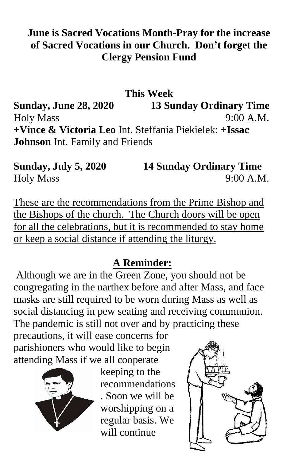### **June is Sacred Vocations Month-Pray for the increase of Sacred Vocations in our Church. Don't forget the Clergy Pension Fund**

### **This Week**

**Sunday, June 28, 2020 13 Sunday Ordinary Time** Holy Mass 9:00 A.M. **+Vince & Victoria Leo** Int. Steffania Piekielek; **+Issac Johnson** Int. Family and Friends

**Sunday, July 5, 2020 14 Sunday Ordinary Time** Holy Mass 9:00 A.M.

These are the recommendations from the Prime Bishop and the Bishops of the church. The Church doors will be open for all the celebrations, but it is recommended to stay home or keep a social distance if attending the liturgy.

### **A Reminder:**

Although we are in the Green Zone, you should not be congregating in the narthex before and after Mass, and face masks are still required to be worn during Mass as well as social distancing in pew seating and receiving communion. The pandemic is still not over and by practicing these

precautions, it will ease concerns for parishioners who would like to begin attending Mass if we all cooperate



keeping to the recommendations . Soon we will be worshipping on a regular basis. We will continue

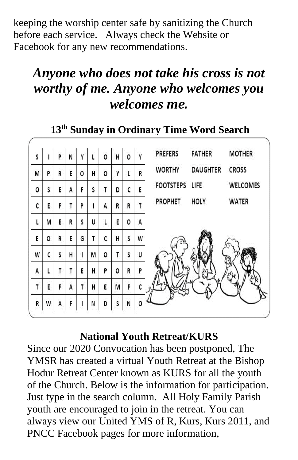keeping the worship center safe by sanitizing the Church before each service. Always check the Website or Facebook for any new recommendations.

# *Anyone who does not take his cross is not worthy of me. Anyone who welcomes you welcomes me.*



 **13 th Sunday in Ordinary Time Word Search**

### **National Youth Retreat/KURS**

Since our 2020 Convocation has been postponed, The YMSR has created a virtual Youth Retreat at the Bishop Hodur Retreat Center known as KURS for all the youth of the Church. Below is the information for participation. Just type in the search column. All Holy Family Parish youth are encouraged to join in the retreat. You can always view our United YMS of R, Kurs, Kurs 2011, and PNCC Facebook pages for more information,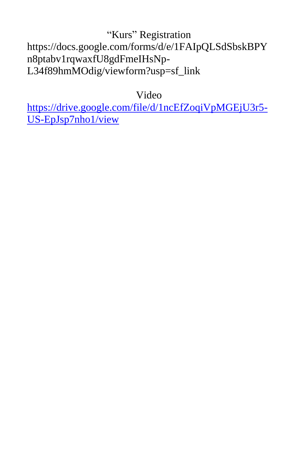## "Kurs" Registration https://docs.google.com/forms/d/e/1FAIpQLSdSbskBPY n8ptabv1rqwaxfU8gdFmeIHsNp-L34f89hmMOdig/viewform?usp=sf\_link

Video

[https://drive.google.com/file/d/1ncEfZoqiVpMGEjU3r5-](https://drive.google.com/file/d/1ncEfZoqiVpMGEjU3r5-US-EpJsp7nho1/view) [US-EpJsp7nho1/view](https://drive.google.com/file/d/1ncEfZoqiVpMGEjU3r5-US-EpJsp7nho1/view)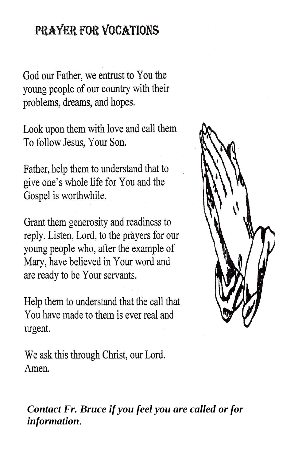# PRAYER FOR VOCATIONS

God our Father, we entrust to You the young people of our country with their problems, dreams, and hopes.

Look upon them with love and call them To follow Jesus, Your Son.

Father, help them to understand that to give one's whole life for You and the Gospel is worthwhile.

Grant them generosity and readiness to reply. Listen, Lord, to the prayers for our young people who, after the example of Mary, have believed in Your word and are ready to be Your servants.

Help them to understand that the call that You have made to them is ever real and urgent.

We ask this through Christ, our Lord. Amen.



*Contact Fr. Bruce if you feel you are called or for information*.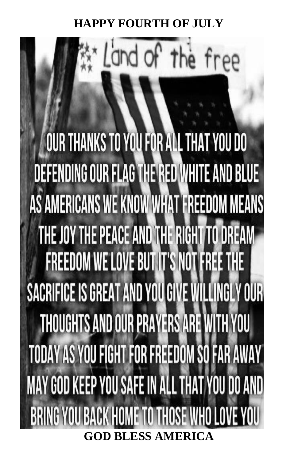# **HAPPY FOURTH OF JULY**

d of the free

OUR THANKS TO YOU FOR ALL THAT YOU DO DEFENDING OUR FLAG THE RED WHITE AND BLUE AS AMERICANS WE KNOW WHAT FREEDOM MEANS THE JOY THE PEACE AND THE RIGHT TO DREAM **FREEDOM WE LOVE BUT IT'S NOT IFREE THE** SACRIFICE IS GREAT AND YOU GIVE WILLINGLY OUR THOUGHTS AND OUR PRAYERS ARE WITH YOU TODAY AS YOU FIGHT FOR FREEDOM SO FAR AWAY MAY GOD KEEP YOU SAFE IN ALL THAT YOU DO AND BRING YOU BACK HOME TO THOSE WHO LOVE YOU **GOD BLESS AMERICA**